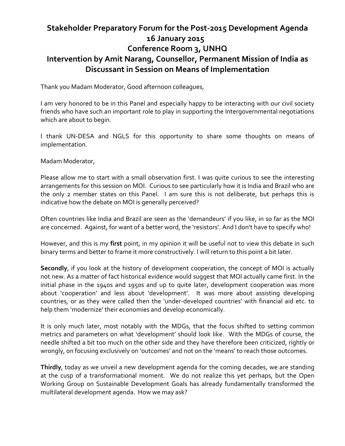## **Stakeholder Preparatory Forum for the Post-2015 Development Agenda 16 January 2015 Conference Room 3, UNHQ Intervention by Amit Narang, Counsellor, Permanent Mission of India as Discussant in Session on Means of Implementation**

Thank you Madam Moderator, Good afternoon colleagues,

I am very honored to be in this Panel and especially happy to be interacting with our civil society friends who have such an important role to play in supporting the Intergovernmental negotiations which are about to begin.

I thank UN-DESA and NGLS for this opportunity to share some thoughts on means of implementation.

Madam Moderator,

Please allow me to start with a small observation first. I was quite curious to see the interesting arrangements for this session on MOI. Curious to see particularly how it is India and Brazil who are the only 2 member states on this Panel. I am sure this is not deliberate, but perhaps this is indicative how the debate on MOI is generally perceived?

Often countries like India and Brazil are seen as the 'demandeurs' if you like, in so far as the MOI are concerned. Against, for want of a better word, the 'resistors'. And I don't have to specify who!

However, and this is my **first** point, in my opinion it will be useful not to view this debate in such binary terms and better to frame it more constructively. I will return to this point a bit later.

**Secondly**, if you look at the history of development cooperation, the concept of MOI is actually not new. As a matter of fact historical evidence would suggest that MOI actually came first. In the initial phase in the 1940s and 1950s and up to quite later, development cooperation was more about 'cooperation' and less about 'development'. It was more about assisting developing countries, or as they were called then the 'under-developed countries' with financial aid etc. to help them 'modernize' their economies and develop economically.

It is only much later, most notably with the MDGs, that the focus shifted to setting common metrics and parameters on what 'development' should look like. With the MDGs of course, the needle shifted a bit too much on the other side and they have therefore been criticized, rightly or wrongly, on focusing exclusively on 'outcomes' and not on the 'means' to reach those outcomes.

**Thirdly**, today as we unveil a new development agenda for the coming decades, we are standing at the cusp of a transformational moment. We do not realize this yet perhaps, but the Open Working Group on Sustainable Development Goals has already fundamentally transformed the multilateral development agenda. How we may ask?